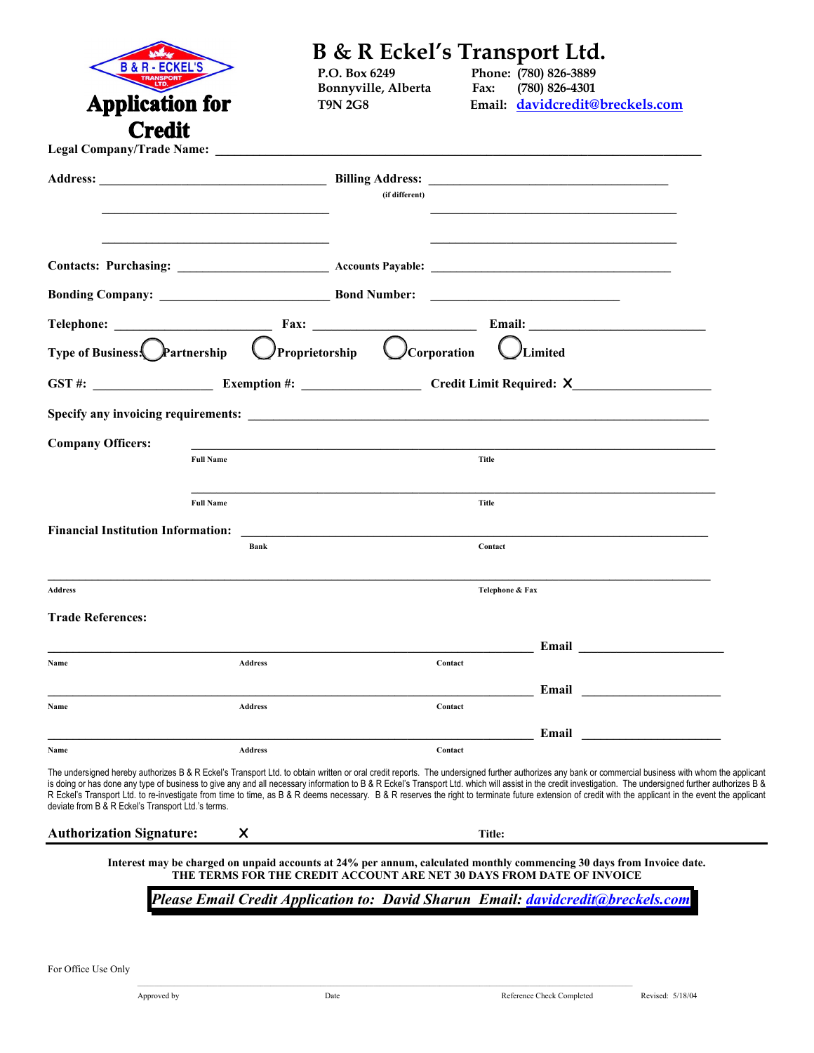| <b>B&amp;R-</b>                                                                |                  | B & R Eckel's Transport Ltd.                                          |                 |                                                                                                                                                                                                                                                                                                                                                                                                                     |  |
|--------------------------------------------------------------------------------|------------------|-----------------------------------------------------------------------|-----------------|---------------------------------------------------------------------------------------------------------------------------------------------------------------------------------------------------------------------------------------------------------------------------------------------------------------------------------------------------------------------------------------------------------------------|--|
|                                                                                |                  | P.O. Box 6249<br>Bonnyville, Alberta                                  | Fax:            | Phone: (780) 826-3889<br>$(780)$ 826-4301                                                                                                                                                                                                                                                                                                                                                                           |  |
| <b>Application for</b>                                                         |                  | <b>T9N 2G8</b>                                                        |                 | Email: davidcredit@breckels.com                                                                                                                                                                                                                                                                                                                                                                                     |  |
| <b>Credit</b>                                                                  |                  |                                                                       |                 |                                                                                                                                                                                                                                                                                                                                                                                                                     |  |
|                                                                                |                  |                                                                       |                 |                                                                                                                                                                                                                                                                                                                                                                                                                     |  |
|                                                                                |                  |                                                                       |                 |                                                                                                                                                                                                                                                                                                                                                                                                                     |  |
|                                                                                |                  | (if different)                                                        |                 |                                                                                                                                                                                                                                                                                                                                                                                                                     |  |
|                                                                                |                  |                                                                       |                 |                                                                                                                                                                                                                                                                                                                                                                                                                     |  |
|                                                                                |                  |                                                                       |                 |                                                                                                                                                                                                                                                                                                                                                                                                                     |  |
|                                                                                |                  |                                                                       |                 |                                                                                                                                                                                                                                                                                                                                                                                                                     |  |
|                                                                                |                  |                                                                       |                 |                                                                                                                                                                                                                                                                                                                                                                                                                     |  |
|                                                                                |                  |                                                                       |                 |                                                                                                                                                                                                                                                                                                                                                                                                                     |  |
| Type of Business. Partnership $\bigcirc$ Proprietorship $\bigcirc$ Corporation |                  |                                                                       |                 |                                                                                                                                                                                                                                                                                                                                                                                                                     |  |
|                                                                                |                  |                                                                       |                 | Limited                                                                                                                                                                                                                                                                                                                                                                                                             |  |
|                                                                                |                  |                                                                       |                 | GST #: Exemption #: Exemption #: Credit Limit Required: X                                                                                                                                                                                                                                                                                                                                                           |  |
|                                                                                |                  |                                                                       |                 |                                                                                                                                                                                                                                                                                                                                                                                                                     |  |
| <b>Company Officers:</b>                                                       |                  |                                                                       |                 |                                                                                                                                                                                                                                                                                                                                                                                                                     |  |
|                                                                                | <b>Full Name</b> |                                                                       | Title           |                                                                                                                                                                                                                                                                                                                                                                                                                     |  |
|                                                                                |                  |                                                                       |                 |                                                                                                                                                                                                                                                                                                                                                                                                                     |  |
|                                                                                | <b>Full Name</b> |                                                                       | Title           |                                                                                                                                                                                                                                                                                                                                                                                                                     |  |
| <b>Financial Institution Information:</b>                                      |                  |                                                                       |                 |                                                                                                                                                                                                                                                                                                                                                                                                                     |  |
|                                                                                | Bank             |                                                                       | Contact         |                                                                                                                                                                                                                                                                                                                                                                                                                     |  |
|                                                                                |                  |                                                                       |                 |                                                                                                                                                                                                                                                                                                                                                                                                                     |  |
| <b>Address</b>                                                                 |                  |                                                                       | Telephone & Fax |                                                                                                                                                                                                                                                                                                                                                                                                                     |  |
| <b>Trade References:</b>                                                       |                  |                                                                       |                 |                                                                                                                                                                                                                                                                                                                                                                                                                     |  |
|                                                                                |                  |                                                                       |                 | Email                                                                                                                                                                                                                                                                                                                                                                                                               |  |
| Name                                                                           | <b>Address</b>   | Contact                                                               |                 |                                                                                                                                                                                                                                                                                                                                                                                                                     |  |
| Name                                                                           | <b>Address</b>   | Contact                                                               |                 | Email                                                                                                                                                                                                                                                                                                                                                                                                               |  |
|                                                                                |                  |                                                                       |                 |                                                                                                                                                                                                                                                                                                                                                                                                                     |  |
| Name                                                                           | <b>Address</b>   | Contact                                                               |                 | Email                                                                                                                                                                                                                                                                                                                                                                                                               |  |
|                                                                                |                  |                                                                       |                 | The undersigned hereby authorizes B & R Eckel's Transport Ltd. to obtain written or oral credit reports. The undersigned further authorizes any bank or commercial business with whom the applicant                                                                                                                                                                                                                 |  |
| deviate from B & R Eckel's Transport Ltd.'s terms.                             |                  |                                                                       |                 | is doing or has done any type of business to give any and all necessary information to B & R Eckel's Transport Ltd. which will assist in the credit investigation. The undersigned further authorizes B &<br>R Eckel's Transport Ltd. to re-investigate from time to time, as B & R deems necessary. B & R reserves the right to terminate future extension of credit with the applicant in the event the applicant |  |
| <b>Authorization Signature:</b>                                                | X                |                                                                       | Title:          |                                                                                                                                                                                                                                                                                                                                                                                                                     |  |
|                                                                                |                  |                                                                       |                 | Interest may be charged on unpaid accounts at 24% per annum, calculated monthly commencing 30 days from Invoice date.                                                                                                                                                                                                                                                                                               |  |
|                                                                                |                  | THE TERMS FOR THE CREDIT ACCOUNT ARE NET 30 DAYS FROM DATE OF INVOICE |                 |                                                                                                                                                                                                                                                                                                                                                                                                                     |  |
|                                                                                |                  |                                                                       |                 | Please Email Credit Application to: David Sharun Email: davidcredit@breckels.com                                                                                                                                                                                                                                                                                                                                    |  |
|                                                                                |                  |                                                                       |                 |                                                                                                                                                                                                                                                                                                                                                                                                                     |  |
|                                                                                |                  |                                                                       |                 |                                                                                                                                                                                                                                                                                                                                                                                                                     |  |
| For Office Use Only                                                            |                  |                                                                       |                 |                                                                                                                                                                                                                                                                                                                                                                                                                     |  |
| Approved by                                                                    |                  | Date                                                                  |                 | Reference Check Completed<br>Revised: 5/18/04                                                                                                                                                                                                                                                                                                                                                                       |  |